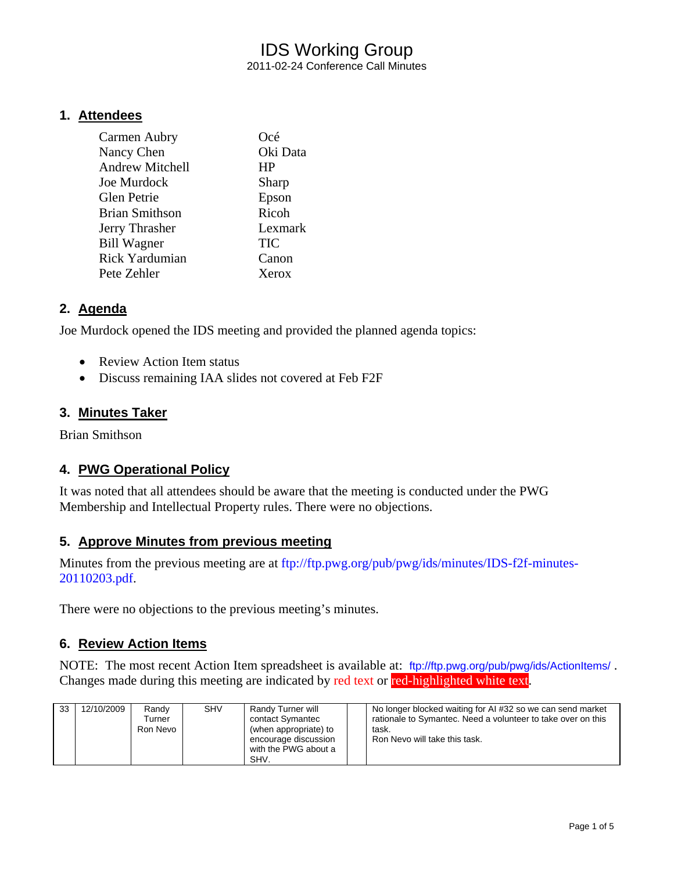# IDS Working Group 2011-02-24 Conference Call Minutes

#### **1. Attendees**

| Carmen Aubry           | Océ        |
|------------------------|------------|
| Nancy Chen             | Oki Data   |
| <b>Andrew Mitchell</b> | <b>HP</b>  |
| Joe Murdock            | Sharp      |
| Glen Petrie            | Epson      |
| Brian Smithson         | Ricoh      |
| Jerry Thrasher         | Lexmark    |
| <b>Bill Wagner</b>     | <b>TIC</b> |
| <b>Rick Yardumian</b>  | Canon      |
| Pete Zehler            | Xerox      |

### **2. Agenda**

Joe Murdock opened the IDS meeting and provided the planned agenda topics:

- Review Action Item status
- Discuss remaining IAA slides not covered at Feb F2F

#### **3. Minutes Taker**

Brian Smithson

#### **4. PWG Operational Policy**

It was noted that all attendees should be aware that the meeting is conducted under the PWG Membership and Intellectual Property rules. There were no objections.

#### **5. Approve Minutes from previous meeting**

Minutes from the previous meeting are at [ftp://ftp.pwg.org/pub/pwg/ids/minutes/IDS-f2f-minutes-](ftp://ftp.pwg.org/pub/pwg/ids/minutes/IDS-f2f-minutes-20110203.pdf)[20110203.pdf.](ftp://ftp.pwg.org/pub/pwg/ids/minutes/IDS-f2f-minutes-20110203.pdf)

There were no objections to the previous meeting's minutes.

#### **6. Review Action Items**

NOTE: The most recent Action Item spreadsheet is available at: <ftp://ftp.pwg.org/pub/pwg/ids/ActionItems/> . Changes made during this meeting are indicated by red text or red-highlighted white text.

| 33 | 12/10/2009 | Randy<br>Turner<br>Ron Nevo | <b>SHV</b> | Randy Turner will<br>contact Symantec<br>(when appropriate) to<br>encourage discussion<br>with the PWG about a<br>SHV. |  | No longer blocked waiting for AI #32 so we can send market<br>rationale to Symantec. Need a volunteer to take over on this<br>task.<br>Ron Nevo will take this task. |
|----|------------|-----------------------------|------------|------------------------------------------------------------------------------------------------------------------------|--|----------------------------------------------------------------------------------------------------------------------------------------------------------------------|
|----|------------|-----------------------------|------------|------------------------------------------------------------------------------------------------------------------------|--|----------------------------------------------------------------------------------------------------------------------------------------------------------------------|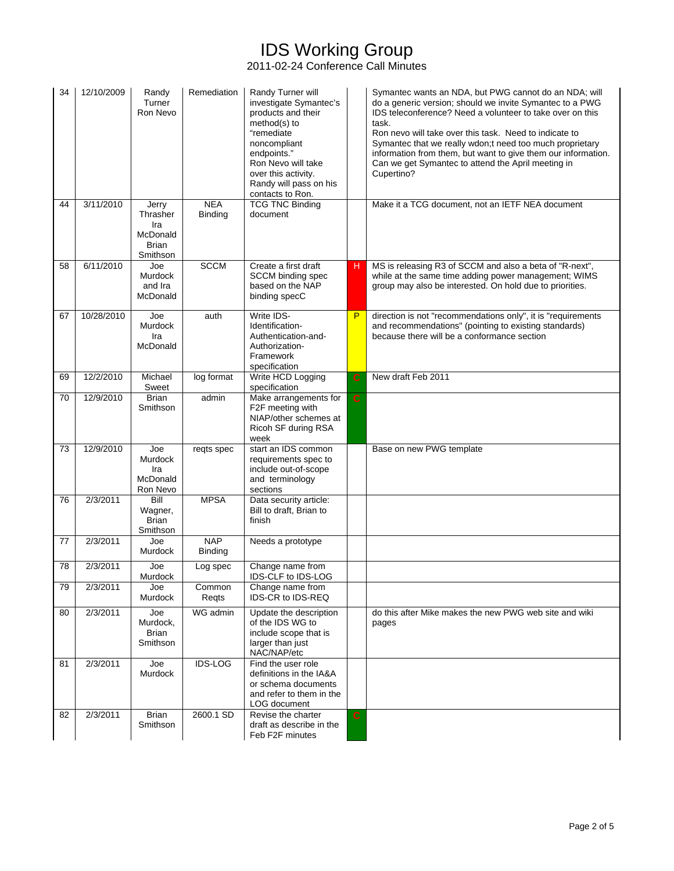# IDS Working Group

2011-02-24 Conference Call Minutes

| 34 | 12/10/2009 | Randy<br>Turner<br>Ron Nevo                                      | Remediation                  | Randy Turner will<br>investigate Symantec's<br>products and their<br>method(s) to<br>"remediate<br>noncompliant<br>endpoints."<br>Ron Nevo will take<br>over this activity.<br>Randy will pass on his<br>contacts to Ron. |                | Symantec wants an NDA, but PWG cannot do an NDA; will<br>do a generic version; should we invite Symantec to a PWG<br>IDS teleconference? Need a volunteer to take over on this<br>task.<br>Ron nevo will take over this task. Need to indicate to<br>Symantec that we really wdon; tneed too much proprietary<br>information from them, but want to give them our information.<br>Can we get Symantec to attend the April meeting in<br>Cupertino? |
|----|------------|------------------------------------------------------------------|------------------------------|---------------------------------------------------------------------------------------------------------------------------------------------------------------------------------------------------------------------------|----------------|----------------------------------------------------------------------------------------------------------------------------------------------------------------------------------------------------------------------------------------------------------------------------------------------------------------------------------------------------------------------------------------------------------------------------------------------------|
| 44 | 3/11/2010  | Jerry<br>Thrasher<br>Ira<br>McDonald<br><b>Brian</b><br>Smithson | <b>NEA</b><br><b>Binding</b> | <b>TCG TNC Binding</b><br>document                                                                                                                                                                                        |                | Make it a TCG document, not an IETF NEA document                                                                                                                                                                                                                                                                                                                                                                                                   |
| 58 | 6/11/2010  | Joe<br>Murdock<br>and Ira<br><b>McDonald</b>                     | <b>SCCM</b>                  | Create a first draft<br><b>SCCM</b> binding spec<br>based on the NAP<br>binding specC                                                                                                                                     | н.             | MS is releasing R3 of SCCM and also a beta of "R-next",<br>while at the same time adding power management; WIMS<br>group may also be interested. On hold due to priorities.                                                                                                                                                                                                                                                                        |
| 67 | 10/28/2010 | Joe<br><b>Murdock</b><br>Ira<br>McDonald                         | auth                         | Write IDS-<br>Identification-<br>Authentication-and-<br>Authorization-<br>Framework<br>specification                                                                                                                      | P              | direction is not "recommendations only", it is "requirements<br>and recommendations" (pointing to existing standards)<br>because there will be a conformance section                                                                                                                                                                                                                                                                               |
| 69 | 12/2/2010  | Michael<br>Sweet                                                 | log format                   | Write HCD Logging<br>specification                                                                                                                                                                                        | $\mathbf C$    | New draft Feb 2011                                                                                                                                                                                                                                                                                                                                                                                                                                 |
| 70 | 12/9/2010  | <b>Brian</b><br>Smithson                                         | admin                        | Make arrangements for<br>F2F meeting with<br>NIAP/other schemes at<br>Ricoh SF during RSA<br>week                                                                                                                         | $\overline{c}$ |                                                                                                                                                                                                                                                                                                                                                                                                                                                    |
| 73 | 12/9/2010  | Joe<br>Murdock<br>Ira<br>McDonald<br>Ron Nevo                    | reqts spec                   | start an IDS common<br>requirements spec to<br>include out-of-scope<br>and terminology<br>sections                                                                                                                        |                | Base on new PWG template                                                                                                                                                                                                                                                                                                                                                                                                                           |
| 76 | 2/3/2011   | Bill<br>Wagner,<br><b>Brian</b><br>Smithson                      | <b>MPSA</b>                  | Data security article:<br>Bill to draft, Brian to<br>finish                                                                                                                                                               |                |                                                                                                                                                                                                                                                                                                                                                                                                                                                    |
| 77 | 2/3/2011   | Joe<br>Murdock                                                   | <b>NAP</b><br><b>Binding</b> | Needs a prototype                                                                                                                                                                                                         |                |                                                                                                                                                                                                                                                                                                                                                                                                                                                    |
| 78 | 2/3/2011   | Joe<br><b>Murdock</b>                                            | Log spec                     | Change name from<br>IDS-CLF to IDS-LOG                                                                                                                                                                                    |                |                                                                                                                                                                                                                                                                                                                                                                                                                                                    |
| 79 | 2/3/2011   | Joe<br>Murdock                                                   | Common<br>Regts              | Change name from<br>IDS-CR to IDS-REQ                                                                                                                                                                                     |                |                                                                                                                                                                                                                                                                                                                                                                                                                                                    |
| 80 | 2/3/2011   | Joe<br>Murdock,<br>Brian<br>Smithson                             | $\overline{W}G$ admin        | Update the description<br>of the IDS WG to<br>include scope that is<br>larger than just<br>NAC/NAP/etc                                                                                                                    |                | do this after Mike makes the new PWG web site and wiki<br>pages                                                                                                                                                                                                                                                                                                                                                                                    |
| 81 | 2/3/2011   | Joe<br>Murdock                                                   | IDS-LOG                      | Find the user role<br>definitions in the IA&A<br>or schema documents<br>and refer to them in the<br>LOG document                                                                                                          |                |                                                                                                                                                                                                                                                                                                                                                                                                                                                    |
| 82 | 2/3/2011   | <b>Brian</b><br>Smithson                                         | 2600.1 SD                    | Revise the charter<br>draft as describe in the<br>Feb F2F minutes                                                                                                                                                         | $\mathbf C$    |                                                                                                                                                                                                                                                                                                                                                                                                                                                    |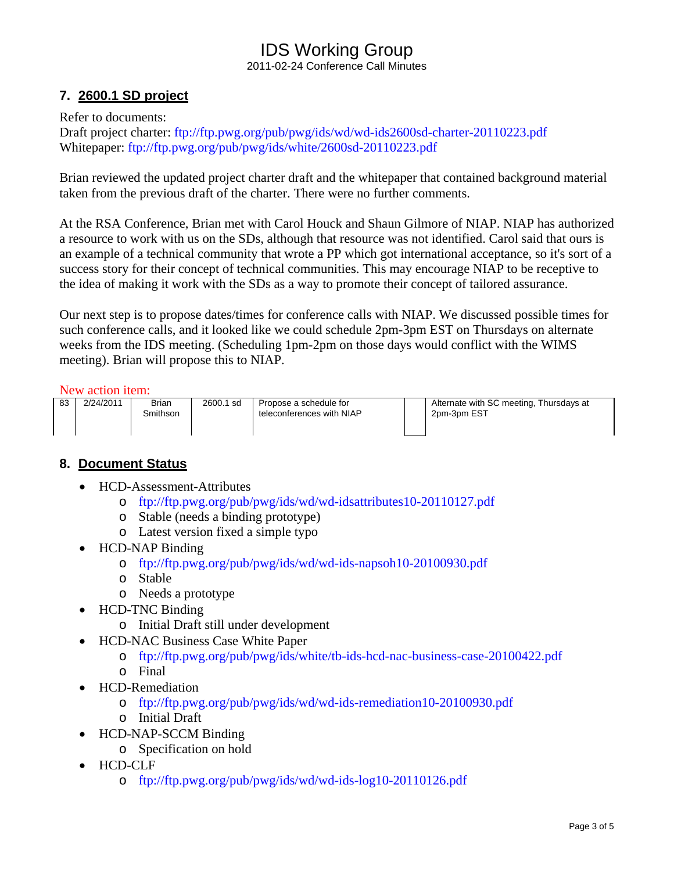# IDS Working Group 2011-02-24 Conference Call Minutes

# **7. 2600.1 SD project**

Refer to documents:

Draft project charter:<ftp://ftp.pwg.org/pub/pwg/ids/wd/wd-ids2600sd-charter-20110223.pdf> Whitepaper:<ftp://ftp.pwg.org/pub/pwg/ids/white/2600sd-20110223.pdf>

Brian reviewed the updated project charter draft and the whitepaper that contained background material taken from the previous draft of the charter. There were no further comments.

At the RSA Conference, Brian met with Carol Houck and Shaun Gilmore of NIAP. NIAP has authorized a resource to work with us on the SDs, although that resource was not identified. Carol said that ours is an example of a technical community that wrote a PP which got international acceptance, so it's sort of a success story for their concept of technical communities. This may encourage NIAP to be receptive to the idea of making it work with the SDs as a way to promote their concept of tailored assurance.

Our next step is to propose dates/times for conference calls with NIAP. We discussed possible times for such conference calls, and it looked like we could schedule 2pm-3pm EST on Thursdays on alternate weeks from the IDS meeting. (Scheduling 1pm-2pm on those days would conflict with the WIMS meeting). Brian will propose this to NIAP.

#### New action item:

| 83 | 2/24/2011 | Brian    | 2600.1 sd | Propose a schedule for    | Alterna |
|----|-----------|----------|-----------|---------------------------|---------|
|    |           | Smithson |           | teleconferences with NIAP | $2pm-3$ |
|    |           |          |           |                           |         |
|    |           |          |           |                           |         |

ate with SC meeting, Thursdays at om FST

### **8. Document Status**

- HCD-Assessment-Attributes
	- o <ftp://ftp.pwg.org/pub/pwg/ids/wd/wd-idsattributes10-20110127.pdf>
	- o Stable (needs a binding prototype)
	- o Latest version fixed a simple typo
- HCD-NAP Binding
	- o <ftp://ftp.pwg.org/pub/pwg/ids/wd/wd-ids-napsoh10-20100930.pdf>
	- o Stable
	- o Needs a prototype
	- HCD-TNC Binding
		- o Initial Draft still under development
- HCD-NAC Business Case White Paper
	- o <ftp://ftp.pwg.org/pub/pwg/ids/white/tb-ids-hcd-nac-business-case-20100422.pdf>
	- o Final
	- HCD-Remediation
		- o <ftp://ftp.pwg.org/pub/pwg/ids/wd/wd-ids-remediation10-20100930.pdf>
		- o Initial Draft
- HCD-NAP-SCCM Binding
	- o Specification on hold
- HCD-CLF
	- o <ftp://ftp.pwg.org/pub/pwg/ids/wd/wd-ids-log10-20110126.pdf>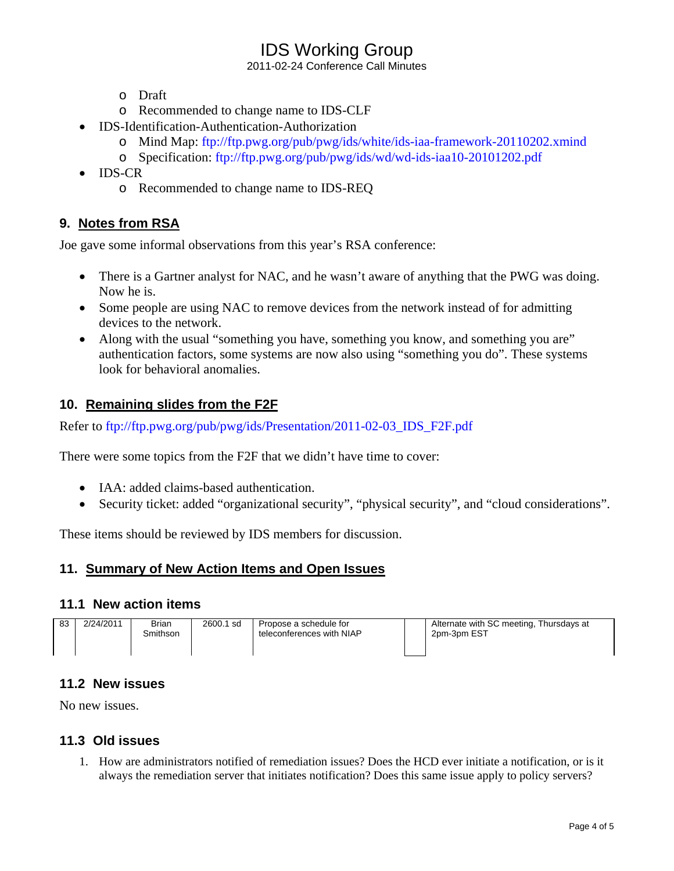# IDS Working Group

2011-02-24 Conference Call Minutes

- o Draft
- o Recommended to change name to IDS-CLF
- IDS-Identification-Authentication-Authorization
	- o Mind Map:<ftp://ftp.pwg.org/pub/pwg/ids/white/ids-iaa-framework-20110202.xmind>
	- o Specification: <ftp://ftp.pwg.org/pub/pwg/ids/wd/wd-ids-iaa10-20101202.pdf>
- IDS-CR
	- o Recommended to change name to IDS-REQ

# **9. Notes from RSA**

Joe gave some informal observations from this year's RSA conference:

- There is a Gartner analyst for NAC, and he wasn't aware of anything that the PWG was doing. Now he is.
- Some people are using NAC to remove devices from the network instead of for admitting devices to the network.
- Along with the usual "something you have, something you know, and something you are" authentication factors, some systems are now also using "something you do". These systems look for behavioral anomalies.

## **10. Remaining slides from the F2F**

Refer to [ftp://ftp.pwg.org/pub/pwg/ids/Presentation/2011-02-03\\_IDS\\_F2F.pdf](ftp://ftp.pwg.org/pub/pwg/ids/Presentation/2011-02-03_IDS_F2F.pdf)

There were some topics from the F2F that we didn't have time to cover:

- IAA: added claims-based authentication.
- Security ticket: added "organizational security", "physical security", and "cloud considerations".

These items should be reviewed by IDS members for discussion.

### **11. Summary of New Action Items and Open Issues**

#### **11.1 New action items**

| 83 | 2/24/2011 | <b>Brian</b><br>Smithson | 2600.1 sd | Propose a schedule for<br>teleconferences with NIAP |  | Alternate with SC meeting, Thursdays at<br>2pm-3pm EST |
|----|-----------|--------------------------|-----------|-----------------------------------------------------|--|--------------------------------------------------------|
|----|-----------|--------------------------|-----------|-----------------------------------------------------|--|--------------------------------------------------------|

### **11.2 New issues**

No new issues.

# **11.3 Old issues**

1. How are administrators notified of remediation issues? Does the HCD ever initiate a notification, or is it always the remediation server that initiates notification? Does this same issue apply to policy servers?